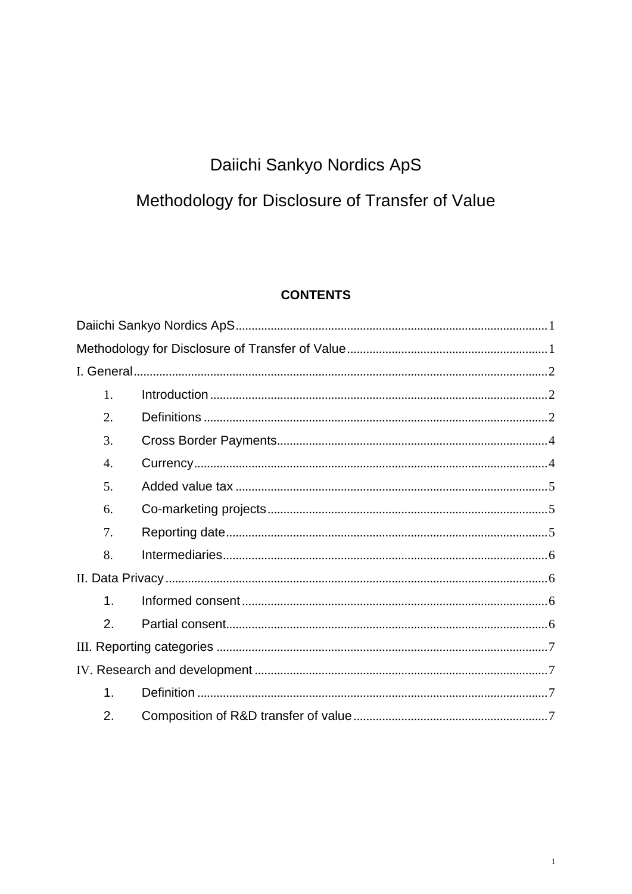# Daiichi Sankyo Nordics ApS

# <span id="page-0-1"></span><span id="page-0-0"></span>Methodology for Disclosure of Transfer of Value

### **CONTENTS**

| 1.            |  |
|---------------|--|
| 2.            |  |
| 3.            |  |
| 4.            |  |
| 5.            |  |
| 6.            |  |
| 7.            |  |
| 8.            |  |
|               |  |
| $\mathbf 1$ . |  |
| 2.            |  |
|               |  |
|               |  |
| $\mathbf 1$ . |  |
| 2.            |  |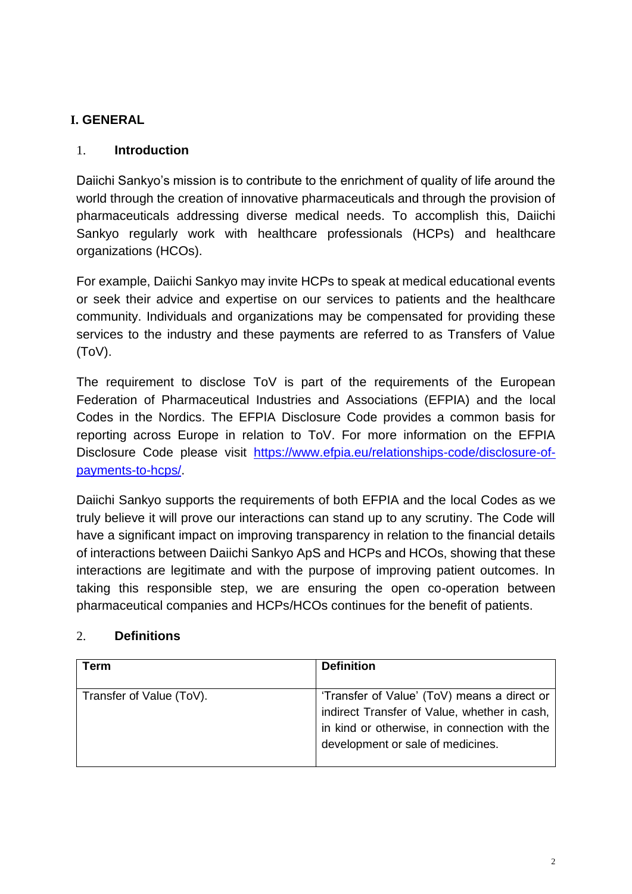## <span id="page-1-0"></span>**I. GENERAL**

#### <span id="page-1-1"></span>1. **Introduction**

Daiichi Sankyo's mission is to contribute to the enrichment of quality of life around the world through the creation of innovative pharmaceuticals and through the provision of pharmaceuticals addressing diverse medical needs. To accomplish this, Daiichi Sankyo regularly work with healthcare professionals (HCPs) and healthcare organizations (HCOs).

For example, Daiichi Sankyo may invite HCPs to speak at medical educational events or seek their advice and expertise on our services to patients and the healthcare community. Individuals and organizations may be compensated for providing these services to the industry and these payments are referred to as Transfers of Value (ToV).

The requirement to disclose ToV is part of the requirements of the European Federation of Pharmaceutical Industries and Associations (EFPIA) and the local Codes in the Nordics. The EFPIA Disclosure Code provides a common basis for reporting across Europe in relation to ToV. For more information on the EFPIA Disclosure Code please visit [https://www.efpia.eu/relationships-code/disclosure-of](https://www.efpia.eu/relationships-code/disclosure-of-payments-to-hcps/)[payments-to-hcps/.](https://www.efpia.eu/relationships-code/disclosure-of-payments-to-hcps/)

Daiichi Sankyo supports the requirements of both EFPIA and the local Codes as we truly believe it will prove our interactions can stand up to any scrutiny. The Code will have a significant impact on improving transparency in relation to the financial details of interactions between Daiichi Sankyo ApS and HCPs and HCOs, showing that these interactions are legitimate and with the purpose of improving patient outcomes. In taking this responsible step, we are ensuring the open co-operation between pharmaceutical companies and HCPs/HCOs continues for the benefit of patients.

#### <span id="page-1-2"></span>2. **Definitions**

| Term                     | <b>Definition</b>                                                                                                                                                                |
|--------------------------|----------------------------------------------------------------------------------------------------------------------------------------------------------------------------------|
| Transfer of Value (ToV). | 'Transfer of Value' (ToV) means a direct or<br>indirect Transfer of Value, whether in cash,<br>in kind or otherwise, in connection with the<br>development or sale of medicines. |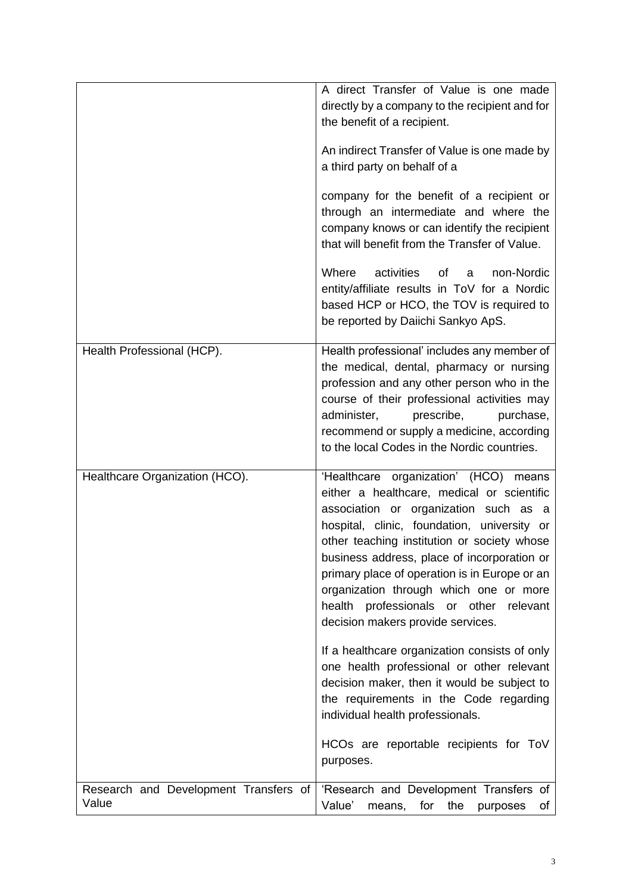|                                       | A direct Transfer of Value is one made<br>directly by a company to the recipient and for<br>the benefit of a recipient.<br>An indirect Transfer of Value is one made by<br>a third party on behalf of a<br>company for the benefit of a recipient or<br>through an intermediate and where the<br>company knows or can identify the recipient<br>that will benefit from the Transfer of Value.<br>Where<br>activities<br>of<br>non-Nordic<br>a<br>entity/affiliate results in ToV for a Nordic<br>based HCP or HCO, the TOV is required to<br>be reported by Daiichi Sankyo ApS.                                                                                                   |
|---------------------------------------|-----------------------------------------------------------------------------------------------------------------------------------------------------------------------------------------------------------------------------------------------------------------------------------------------------------------------------------------------------------------------------------------------------------------------------------------------------------------------------------------------------------------------------------------------------------------------------------------------------------------------------------------------------------------------------------|
| Health Professional (HCP).            | Health professional' includes any member of<br>the medical, dental, pharmacy or nursing<br>profession and any other person who in the<br>course of their professional activities may<br>administer,<br>prescribe,<br>purchase,<br>recommend or supply a medicine, according<br>to the local Codes in the Nordic countries.                                                                                                                                                                                                                                                                                                                                                        |
| Healthcare Organization (HCO).        | 'Healthcare organization' (HCO) means<br>either a healthcare, medical or scientific<br>association or organization such as a<br>hospital, clinic, foundation, university or<br>other teaching institution or society whose<br>business address, place of incorporation or<br>primary place of operation is in Europe or an<br>organization through which one or more<br>health professionals or other<br>relevant<br>decision makers provide services.<br>If a healthcare organization consists of only<br>one health professional or other relevant<br>decision maker, then it would be subject to<br>the requirements in the Code regarding<br>individual health professionals. |
| Research and Development Transfers of | HCOs are reportable recipients for ToV<br>purposes.<br>'Research and Development Transfers of                                                                                                                                                                                                                                                                                                                                                                                                                                                                                                                                                                                     |
| Value                                 | Value'<br>for<br>the<br>means,<br>purposes<br>of                                                                                                                                                                                                                                                                                                                                                                                                                                                                                                                                                                                                                                  |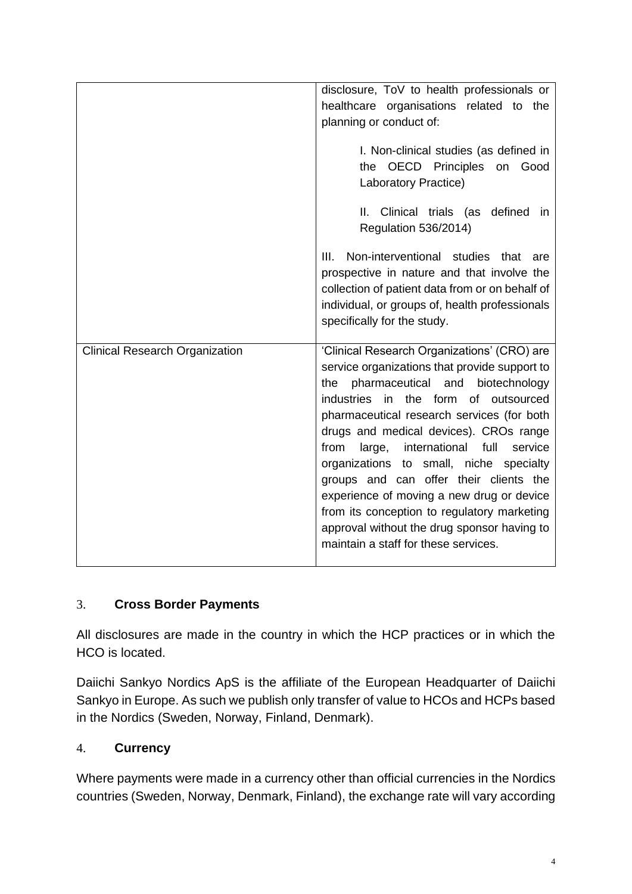|                                       | disclosure, ToV to health professionals or<br>healthcare organisations related to the<br>planning or conduct of:<br>I. Non-clinical studies (as defined in<br>the OECD Principles on<br>Good<br>Laboratory Practice)<br>II.<br>Clinical trials (as defined<br><i>in</i><br>Regulation 536/2014)<br>Non-interventional studies that are<br>III.                                                                                                                                                                                                                                                     |
|---------------------------------------|----------------------------------------------------------------------------------------------------------------------------------------------------------------------------------------------------------------------------------------------------------------------------------------------------------------------------------------------------------------------------------------------------------------------------------------------------------------------------------------------------------------------------------------------------------------------------------------------------|
|                                       | prospective in nature and that involve the<br>collection of patient data from or on behalf of<br>individual, or groups of, health professionals<br>specifically for the study.                                                                                                                                                                                                                                                                                                                                                                                                                     |
| <b>Clinical Research Organization</b> | 'Clinical Research Organizations' (CRO) are<br>service organizations that provide support to<br>pharmaceutical and<br>biotechnology<br>the<br>industries in the form of outsourced<br>pharmaceutical research services (for both<br>drugs and medical devices). CROs range<br>large, international full<br>from<br>service<br>organizations to small, niche specialty<br>groups and can offer their clients the<br>experience of moving a new drug or device<br>from its conception to regulatory marketing<br>approval without the drug sponsor having to<br>maintain a staff for these services. |

## <span id="page-3-0"></span>3. **Cross Border Payments**

All disclosures are made in the country in which the HCP practices or in which the HCO is located.

Daiichi Sankyo Nordics ApS is the affiliate of the European Headquarter of Daiichi Sankyo in Europe. As such we publish only transfer of value to HCOs and HCPs based in the Nordics (Sweden, Norway, Finland, Denmark).

#### <span id="page-3-1"></span>4. **Currency**

Where payments were made in a currency other than official currencies in the Nordics countries (Sweden, Norway, Denmark, Finland), the exchange rate will vary according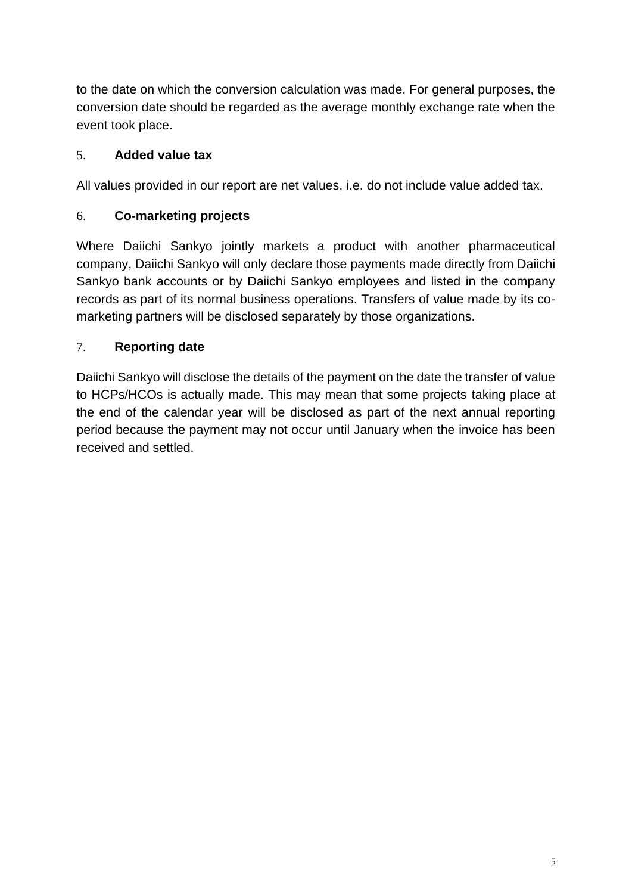to the date on which the conversion calculation was made. For general purposes, the conversion date should be regarded as the average monthly exchange rate when the event took place.

## <span id="page-4-0"></span>5. **Added value tax**

All values provided in our report are net values, i.e. do not include value added tax.

## <span id="page-4-1"></span>6. **Co-marketing projects**

Where Daiichi Sankyo jointly markets a product with another pharmaceutical company, Daiichi Sankyo will only declare those payments made directly from Daiichi Sankyo bank accounts or by Daiichi Sankyo employees and listed in the company records as part of its normal business operations. Transfers of value made by its comarketing partners will be disclosed separately by those organizations.

## <span id="page-4-2"></span>7. **Reporting date**

Daiichi Sankyo will disclose the details of the payment on the date the transfer of value to HCPs/HCOs is actually made. This may mean that some projects taking place at the end of the calendar year will be disclosed as part of the next annual reporting period because the payment may not occur until January when the invoice has been received and settled.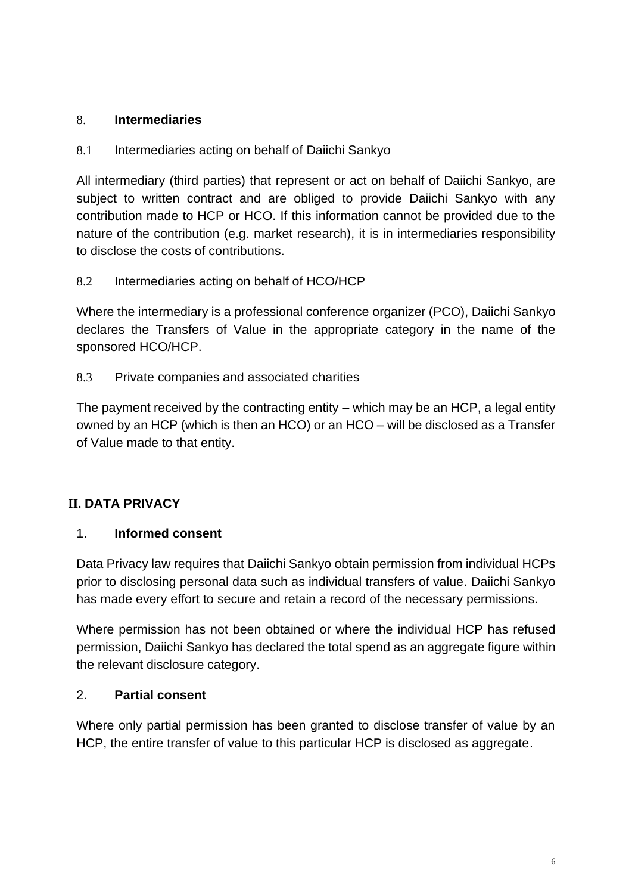#### <span id="page-5-0"></span>8. **Intermediaries**

#### 8.1 Intermediaries acting on behalf of Daiichi Sankyo

All intermediary (third parties) that represent or act on behalf of Daiichi Sankyo, are subject to written contract and are obliged to provide Daiichi Sankyo with any contribution made to HCP or HCO. If this information cannot be provided due to the nature of the contribution (e.g. market research), it is in intermediaries responsibility to disclose the costs of contributions.

### 8.2 Intermediaries acting on behalf of HCO/HCP

Where the intermediary is a professional conference organizer (PCO), Daiichi Sankyo declares the Transfers of Value in the appropriate category in the name of the sponsored HCO/HCP.

#### 8.3 Private companies and associated charities

The payment received by the contracting entity – which may be an HCP, a legal entity owned by an HCP (which is then an HCO) or an HCO – will be disclosed as a Transfer of Value made to that entity.

## <span id="page-5-1"></span>**II. DATA PRIVACY**

#### <span id="page-5-2"></span>1. **Informed consent**

Data Privacy law requires that Daiichi Sankyo obtain permission from individual HCPs prior to disclosing personal data such as individual transfers of value. Daiichi Sankyo has made every effort to secure and retain a record of the necessary permissions.

Where permission has not been obtained or where the individual HCP has refused permission, Daiichi Sankyo has declared the total spend as an aggregate figure within the relevant disclosure category.

#### <span id="page-5-3"></span>2. **Partial consent**

Where only partial permission has been granted to disclose transfer of value by an HCP, the entire transfer of value to this particular HCP is disclosed as aggregate.